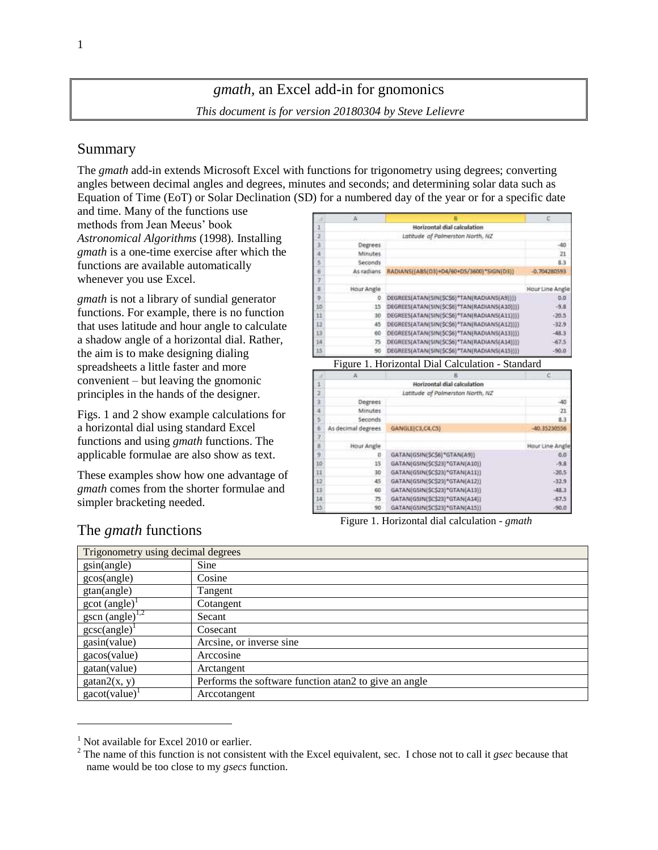# *gmath,* an Excel add-in for gnomonics *This document is for version 20180304 by Steve Lelievre*

# Summary

The *gmath* add-in extends Microsoft Excel with functions for trigonometry using degrees; converting angles between decimal angles and degrees, minutes and seconds; and determining solar data such as Equation of Time (EoT) or Solar Declination (SD) for a numbered day of the year or for a specific date

and time. Many of the functions use methods from Jean Meeus' book *Astronomical Algorithms* (1998)*.* Installing *gmath* is a one-time exercise after which the functions are available automatically whenever you use Excel.

*gmath* is not a library of sundial generator functions. For example, there is no function that uses latitude and hour angle to calculate a shadow angle of a horizontal dial. Rather, the aim is to make designing dialing spreadsheets a little faster and more convenient – but leaving the gnomonic principles in the hands of the designer.

Figs. 1 and 2 show example calculations for a horizontal dial using standard Excel functions and using *gmath* functions. The applicable formulae are also show as text.

These examples show how one advantage of *gmath* comes from the shorter formulae and simpler bracketing needed.

|    |            | Horizontal dial calculation                  |                 |
|----|------------|----------------------------------------------|-----------------|
|    |            | Latitude of Polmerston North, NZ             |                 |
|    | Degrees    |                                              | $-40$           |
|    | Minutes    |                                              | 21              |
|    | Seconds    |                                              | 8.3             |
|    | As radians | RADIANS((ABS(O3)+D4/60+D5/3600)*SIGN(D3))    | $-0.704280593$  |
|    |            |                                              |                 |
|    | Hour Angle |                                              | Hour Line Angle |
|    | 0          | DEGREES(ATAN(SIN(SCS6)*TAN(RADIANS(A9))))    | 0,0             |
| Ö. | 15         | DEGREES(ATAN(SIN(\$C\$6)*TAN(RADIANS(A10)))) | $-9.8$          |
|    | 30         | DEGREES(ATAN(SIN(SCS6)*TAN(RADIANS(A11))))   | $-20.5$         |
|    | 45         | DEGREES(ATAN(SIN(\$C\$6)*TAN(RADIANS(A12)))) | $-32.9$         |
|    | 60         | DEGREES(ATAN(SIN(\$C\$6)*TAN(RADIANS(A13)))) | $-48.3$         |
|    | 75         | DEGREES(ATAN(SIN(\$C\$6)*TAN(RADIANS(A14)))) | $-67.5$         |
|    | 50         | DEGREES(ATAN(SIN(\$C\$6)*TAN(RADIANS(A15)))) | $-90.0$         |

Figure 1. Horizontal Dial Calculation - Standard

|     |                    | Horizontal dial calculation      |                 |
|-----|--------------------|----------------------------------|-----------------|
|     |                    | Latitude of Polmerston North, NZ |                 |
|     | Degrees            |                                  | 40              |
|     | Minutes            |                                  | 21              |
|     | Seconds            |                                  | 8.3             |
|     | As decimal degrees | GANGLE(C3,C4,C5)                 | $-40.35230556$  |
|     |                    |                                  |                 |
|     | Hour Angle         |                                  | Hour Line Angle |
| 9   | o                  | GATAN(GSIN(SCS6)*GTAN(A9))       | 0,0             |
| tò  | 15                 | GATAN(GSIN(\$C\$23)*GTAN(A10))   | $-9.8$          |
| ü   | 30                 | GATAN(GSIN(SCS23)*GTAN(A11))     | $-20.5$         |
| iz. | 45                 | GATAN(GSIN(SCS23)*GTAN(A12))     | $-32.9$         |
| l3  | 60                 | GATAN(GSIN(\$C\$23)*GTAN(A13))   | $-48.3$         |
| i4  | 75                 | GATAN(GSIN(SCS23)*GTAN(A14))     | $-67.5$         |
| i5. | 90                 | GATAN(GSIN(SC\$23)*GTAN(A15))    | (90,0)          |

Figure 1. Horizontal dial calculation - *gmath*

| Trigonometry using decimal degrees    |                                                         |  |  |
|---------------------------------------|---------------------------------------------------------|--|--|
| gsin(angle)                           | Sine                                                    |  |  |
| gcos(angle)                           | Cosine                                                  |  |  |
| gtan(angle)                           | Tangent                                                 |  |  |
| $\gcd(\text{angle})^1$                | Cotangent                                               |  |  |
| $\frac{\text{gscn (angle)}^{1,2}}{2}$ | Secant                                                  |  |  |
| $g\csc(\text{angle})^1$               | Cosecant                                                |  |  |
| gasin(value)                          | Arcsine, or inverse sine                                |  |  |
| gacos(value)                          | Arccosine                                               |  |  |
| gatan(value)                          | Arctangent                                              |  |  |
| gatan2(x, y)                          | Performs the software function at an 2 to give an angle |  |  |
| $\text{gacot}(\text{value})^1$        | Arccotangent                                            |  |  |

# The *gmath* functions

l

 $<sup>1</sup>$  Not available for Excel 2010 or earlier.</sup>

<sup>2</sup> The name of this function is not consistent with the Excel equivalent, sec. I chose not to call it *gsec* because that name would be too close to my *gsecs* function.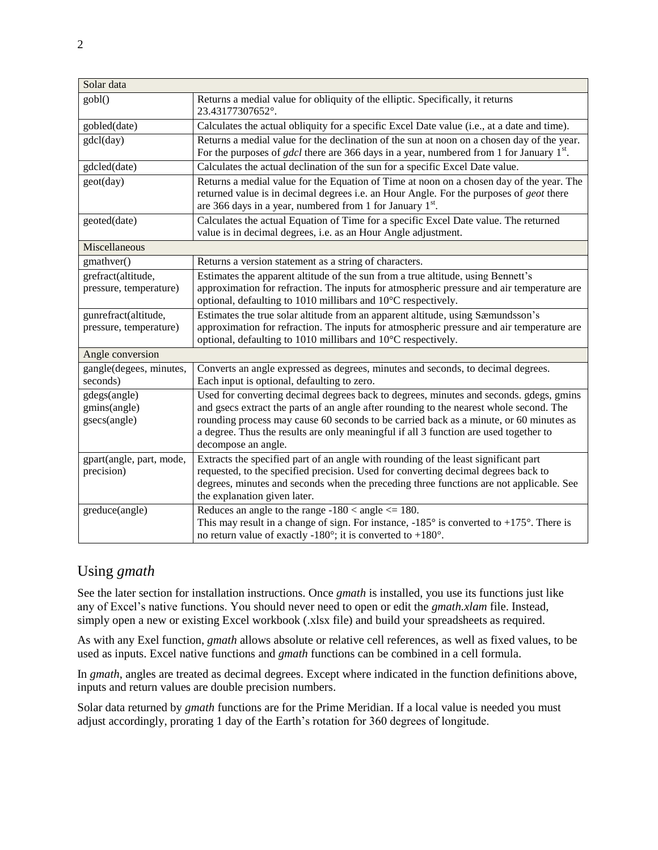| Solar data                                     |                                                                                                                                                                                                                                                                                                                                                                                             |  |  |
|------------------------------------------------|---------------------------------------------------------------------------------------------------------------------------------------------------------------------------------------------------------------------------------------------------------------------------------------------------------------------------------------------------------------------------------------------|--|--|
| gobl()                                         | Returns a medial value for obliquity of the elliptic. Specifically, it returns<br>23.43177307652°.                                                                                                                                                                                                                                                                                          |  |  |
| gobled(date)                                   | Calculates the actual obliquity for a specific Excel Date value (i.e., at a date and time).                                                                                                                                                                                                                                                                                                 |  |  |
| gdcl(day)                                      | Returns a medial value for the declination of the sun at noon on a chosen day of the year.<br>For the purposes of <i>gdcl</i> there are 366 days in a year, numbered from 1 for January $1st$ .                                                                                                                                                                                             |  |  |
| gdcled(date)                                   | Calculates the actual declination of the sun for a specific Excel Date value.                                                                                                                                                                                                                                                                                                               |  |  |
| geot(day)                                      | Returns a medial value for the Equation of Time at noon on a chosen day of the year. The<br>returned value is in decimal degrees i.e. an Hour Angle. For the purposes of geot there<br>are 366 days in a year, numbered from 1 for January 1 <sup>st</sup> .                                                                                                                                |  |  |
| geoted(date)                                   | Calculates the actual Equation of Time for a specific Excel Date value. The returned<br>value is in decimal degrees, i.e. as an Hour Angle adjustment.                                                                                                                                                                                                                                      |  |  |
| Miscellaneous                                  |                                                                                                                                                                                                                                                                                                                                                                                             |  |  |
| gmathver()                                     | Returns a version statement as a string of characters.                                                                                                                                                                                                                                                                                                                                      |  |  |
| grefract(altitude,<br>pressure, temperature)   | Estimates the apparent altitude of the sun from a true altitude, using Bennett's<br>approximation for refraction. The inputs for atmospheric pressure and air temperature are<br>optional, defaulting to 1010 millibars and 10°C respectively.                                                                                                                                              |  |  |
| gunrefract(altitude,<br>pressure, temperature) | Estimates the true solar altitude from an apparent altitude, using Sæmundsson's<br>approximation for refraction. The inputs for atmospheric pressure and air temperature are<br>optional, defaulting to 1010 millibars and 10°C respectively.                                                                                                                                               |  |  |
| Angle conversion                               |                                                                                                                                                                                                                                                                                                                                                                                             |  |  |
| gangle(degees, minutes,<br>seconds)            | Converts an angle expressed as degrees, minutes and seconds, to decimal degrees.<br>Each input is optional, defaulting to zero.                                                                                                                                                                                                                                                             |  |  |
| gdegs(angle)<br>gmins(angle)<br>gsecs(angle)   | Used for converting decimal degrees back to degrees, minutes and seconds. gdegs, gmins<br>and gsecs extract the parts of an angle after rounding to the nearest whole second. The<br>rounding process may cause 60 seconds to be carried back as a minute, or 60 minutes as<br>a degree. Thus the results are only meaningful if all 3 function are used together to<br>decompose an angle. |  |  |
| gpart(angle, part, mode,<br>precision)         | Extracts the specified part of an angle with rounding of the least significant part<br>requested, to the specified precision. Used for converting decimal degrees back to<br>degrees, minutes and seconds when the preceding three functions are not applicable. See<br>the explanation given later.                                                                                        |  |  |
| greduce(angle)                                 | Reduces an angle to the range $-180 <$ angle $\leq 180$ .<br>This may result in a change of sign. For instance, $-185^\circ$ is converted to $+175^\circ$ . There is<br>no return value of exactly -180 $^{\circ}$ ; it is converted to +180 $^{\circ}$ .                                                                                                                                   |  |  |

# Using *gmath*

See the later section for installation instructions. Once *gmath* is installed, you use its functions just like any of Excel's native functions. You should never need to open or edit the *gmath.xlam* file. Instead, simply open a new or existing Excel workbook (.xlsx file) and build your spreadsheets as required.

As with any Exel function, *gmath* allows absolute or relative cell references, as well as fixed values, to be used as inputs. Excel native functions and *gmath* functions can be combined in a cell formula.

In *gmath*, angles are treated as decimal degrees. Except where indicated in the function definitions above, inputs and return values are double precision numbers.

Solar data returned by *gmath* functions are for the Prime Meridian. If a local value is needed you must adjust accordingly, prorating 1 day of the Earth's rotation for 360 degrees of longitude.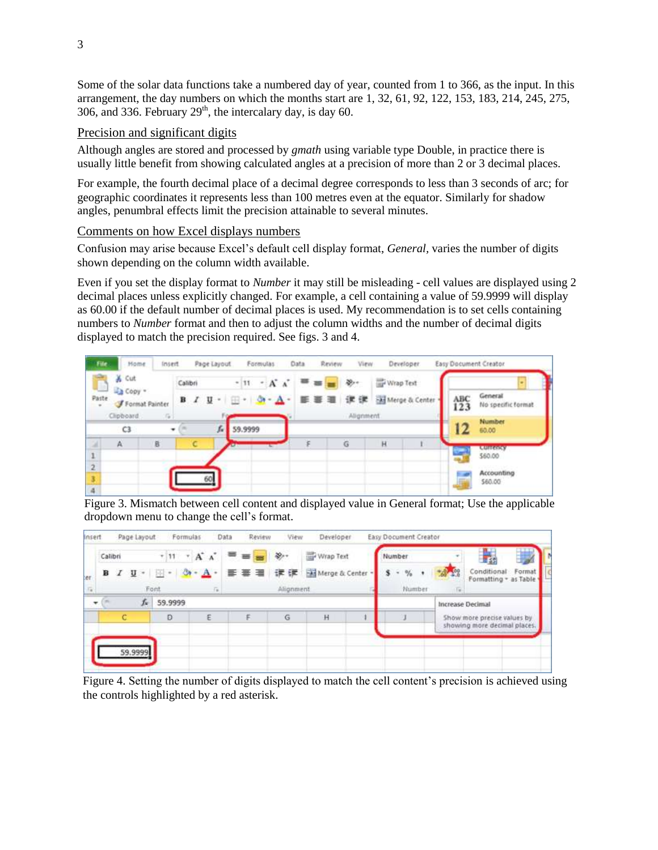Some of the solar data functions take a numbered day of year, counted from 1 to 366, as the input. In this arrangement, the day numbers on which the months start are 1, 32, 61, 92, 122, 153, 183, 214, 245, 275, 306, and 336. February  $29<sup>th</sup>$ , the intercalary day, is day 60.

#### Precision and significant digits

Although angles are stored and processed by *gmath* using variable type Double, in practice there is usually little benefit from showing calculated angles at a precision of more than 2 or 3 decimal places.

For example, the fourth decimal place of a decimal degree corresponds to less than 3 seconds of arc; for geographic coordinates it represents less than 100 metres even at the equator. Similarly for shadow angles, penumbral effects limit the precision attainable to several minutes.

### Comments on how Excel displays numbers

Confusion may arise because Excel's default cell display format, *General,* varies the number of digits shown depending on the column width available.

Even if you set the display format to *Number* it may still be misleading - cell values are displayed using 2 decimal places unless explicitly changed. For example, a cell containing a value of 59.9999 will display as 60.00 if the default number of decimal places is used. My recommendation is to set cells containing numbers to *Number* format and then to adjust the column widths and the number of decimal digits displayed to match the precision required. See figs. 3 and 4.



Figure 3. Mismatch between cell content and displayed value in General format; Use the applicable dropdown menu to change the cell's format.



Figure 4. Setting the number of digits displayed to match the cell content's precision is achieved using the controls highlighted by a red asterisk.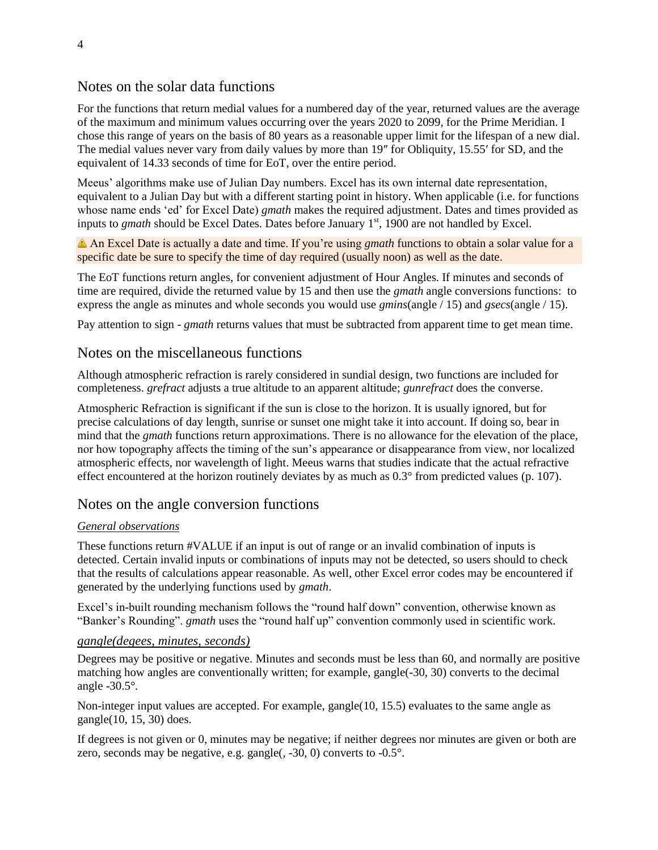### Notes on the solar data functions

For the functions that return medial values for a numbered day of the year, returned values are the average of the maximum and minimum values occurring over the years 2020 to 2099, for the Prime Meridian. I chose this range of years on the basis of 80 years as a reasonable upper limit for the lifespan of a new dial. The medial values never vary from daily values by more than 19″ for Obliquity, 15.55′ for SD, and the equivalent of 14.33 seconds of time for EoT, over the entire period.

Meeus' algorithms make use of Julian Day numbers. Excel has its own internal date representation, equivalent to a Julian Day but with a different starting point in history. When applicable (i.e. for functions whose name ends 'ed' for Excel Date) *gmath* makes the required adjustment. Dates and times provided as inputs to *gmath* should be Excel Dates. Dates before January 1<sup>st</sup>, 1900 are not handled by Excel.

An Excel Date is actually a date and time. If you're using *gmath* functions to obtain a solar value for a specific date be sure to specify the time of day required (usually noon) as well as the date.

The EoT functions return angles, for convenient adjustment of Hour Angles. If minutes and seconds of time are required, divide the returned value by 15 and then use the *gmath* angle conversions functions: to express the angle as minutes and whole seconds you would use *gmins*(angle / 15) and *gsecs*(angle / 15).

Pay attention to sign - *gmath* returns values that must be subtracted from apparent time to get mean time.

#### Notes on the miscellaneous functions

Although atmospheric refraction is rarely considered in sundial design, two functions are included for completeness. *grefract* adjusts a true altitude to an apparent altitude; *gunrefract* does the converse.

Atmospheric Refraction is significant if the sun is close to the horizon. It is usually ignored, but for precise calculations of day length, sunrise or sunset one might take it into account. If doing so, bear in mind that the *gmath* functions return approximations. There is no allowance for the elevation of the place, nor how topography affects the timing of the sun's appearance or disappearance from view, nor localized atmospheric effects, nor wavelength of light. Meeus warns that studies indicate that the actual refractive effect encountered at the horizon routinely deviates by as much as 0.3° from predicted values (p. 107).

#### Notes on the angle conversion functions

#### *General observations*

These functions return #VALUE if an input is out of range or an invalid combination of inputs is detected. Certain invalid inputs or combinations of inputs may not be detected, so users should to check that the results of calculations appear reasonable. As well, other Excel error codes may be encountered if generated by the underlying functions used by *gmath*.

Excel's in-built rounding mechanism follows the "round half down" convention, otherwise known as "Banker's Rounding". *gmath* uses the "round half up" convention commonly used in scientific work.

#### *gangle(degees, minutes, seconds)*

Degrees may be positive or negative. Minutes and seconds must be less than 60, and normally are positive matching how angles are conventionally written; for example, gangle(-30, 30) converts to the decimal angle -30.5°.

Non-integer input values are accepted. For example, gangle(10, 15.5) evaluates to the same angle as gangle(10, 15, 30) does.

If degrees is not given or 0, minutes may be negative; if neither degrees nor minutes are given or both are zero, seconds may be negative, e.g. gangle(, -30, 0) converts to -0.5°.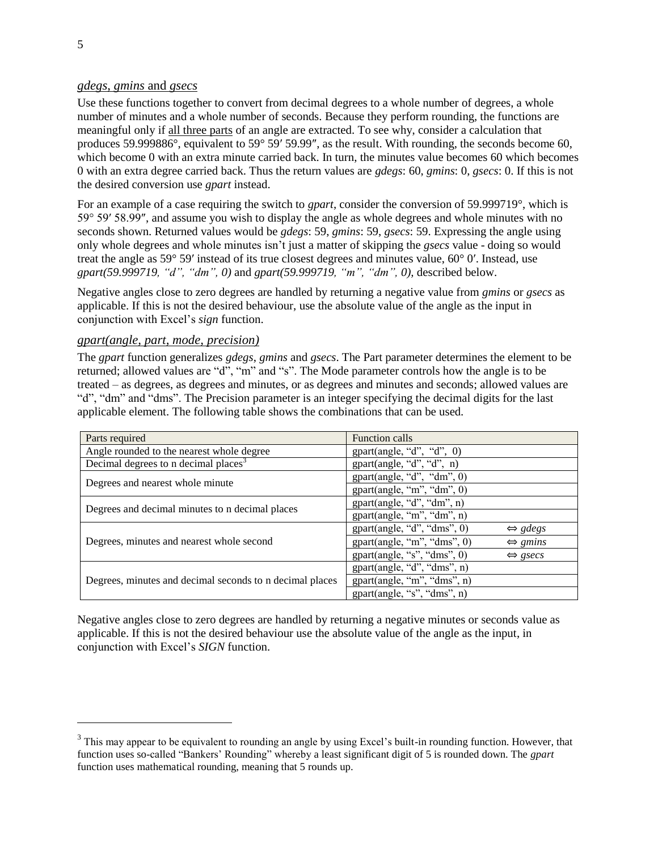### *gdegs*, *gmins* and *gsecs*

Use these functions together to convert from decimal degrees to a whole number of degrees, a whole number of minutes and a whole number of seconds. Because they perform rounding, the functions are meaningful only if all three parts of an angle are extracted. To see why, consider a calculation that produces 59.999886°, equivalent to 59° 59′ 59.99″, as the result. With rounding, the seconds become 60, which become 0 with an extra minute carried back. In turn, the minutes value becomes 60 which becomes 0 with an extra degree carried back. Thus the return values are *gdegs*: 60, *gmins*: 0, *gsecs*: 0. If this is not the desired conversion use *gpart* instead.

For an example of a case requiring the switch to *gpart*, consider the conversion of 59.999719°, which is 59° 59′ 58.99″, and assume you wish to display the angle as whole degrees and whole minutes with no seconds shown. Returned values would be *gdegs*: 59, *gmins*: 59, *gsecs*: 59. Expressing the angle using only whole degrees and whole minutes isn't just a matter of skipping the *gsecs* value - doing so would treat the angle as 59° 59′ instead of its true closest degrees and minutes value, 60° 0′. Instead, use *gpart(59.999719, "d", "dm", 0)* and *gpart(59.999719, "m", "dm", 0),* described below.

Negative angles close to zero degrees are handled by returning a negative value from *gmins* or *gsecs* as applicable. If this is not the desired behaviour, use the absolute value of the angle as the input in conjunction with Excel's *sign* function.

#### *gpart(angle, part, mode, precision)*

The *gpart* function generalizes *gdegs*, *gmins* and *gsecs*. The Part parameter determines the element to be returned; allowed values are "d", "m" and "s". The Mode parameter controls how the angle is to be treated – as degrees, as degrees and minutes, or as degrees and minutes and seconds; allowed values are "d", "dm" and "dms". The Precision parameter is an integer specifying the decimal digits for the last applicable element. The following table shows the combinations that can be used.

| Parts required                                           | Function calls                                         |
|----------------------------------------------------------|--------------------------------------------------------|
| Angle rounded to the nearest whole degree                | gpart(angle, "d", "d", 0)                              |
| Decimal degrees to n decimal places <sup>3</sup>         | gpart(angle, "d", "d", n)                              |
| Degrees and nearest whole minute                         | gpart(angle, "d", "dm", 0)                             |
|                                                          | gpart(angle, "m", "dm", 0)                             |
| Degrees and decimal minutes to n decimal places          | gpart(angle, "d", "dm", n)                             |
|                                                          | gpart(angle, "m", "dm", n)                             |
|                                                          | gpart(angle, "d", "dms", 0)<br>$\Leftrightarrow$ gdegs |
| Degrees, minutes and nearest whole second                | gpart(angle, "m", "dms", 0)<br>$\Leftrightarrow$ gmins |
|                                                          | gpart(angle, "s", "dms", 0)<br>$\Leftrightarrow$ gsecs |
|                                                          | gpart(angle, "d", "dms", n)                            |
| Degrees, minutes and decimal seconds to n decimal places | gpart(angle, "m", "dms", n)                            |
|                                                          | gpart(angle, "s", "dms", n)                            |

Negative angles close to zero degrees are handled by returning a negative minutes or seconds value as applicable. If this is not the desired behaviour use the absolute value of the angle as the input, in conjunction with Excel's *SIGN* function.

l

 $3$  This may appear to be equivalent to rounding an angle by using Excel's built-in rounding function. However, that function uses so-called "Bankers' Rounding" whereby a least significant digit of 5 is rounded down. The *gpart* function uses mathematical rounding, meaning that 5 rounds up.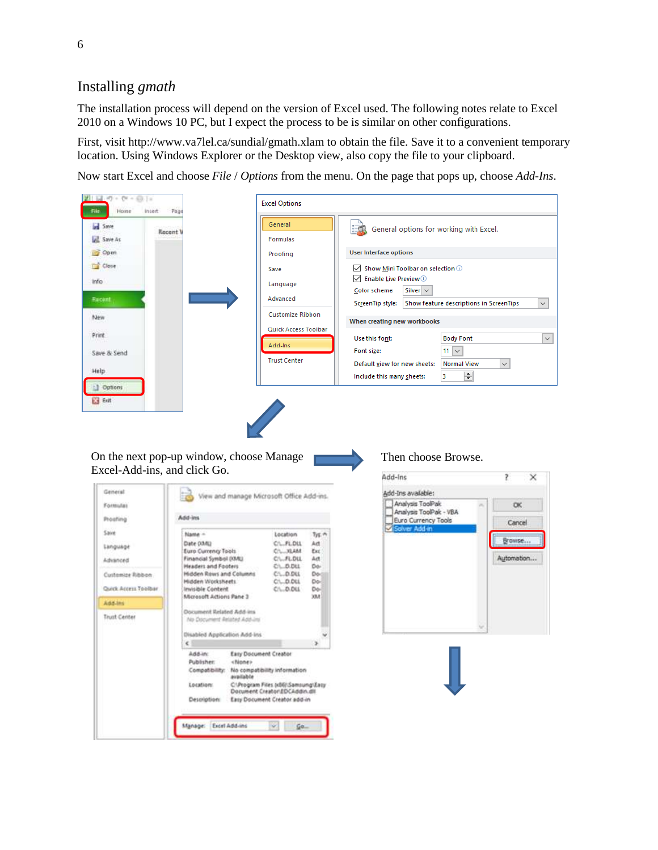## Installing *gmath*

The installation process will depend on the version of Excel used. The following notes relate to Excel 2010 on a Windows 10 PC, but I expect the process to be is similar on other configurations.

First, visit <http://www.va7lel.ca/sundial/gmath.xlam> to obtain the file. Save it to a convenient temporary location. Using Windows Explorer or the Desktop view, also copy the file to your clipboard.

Now start Excel and choose *File* / *Options* from the menu. On the page that pops up, choose *Add-Ins*.